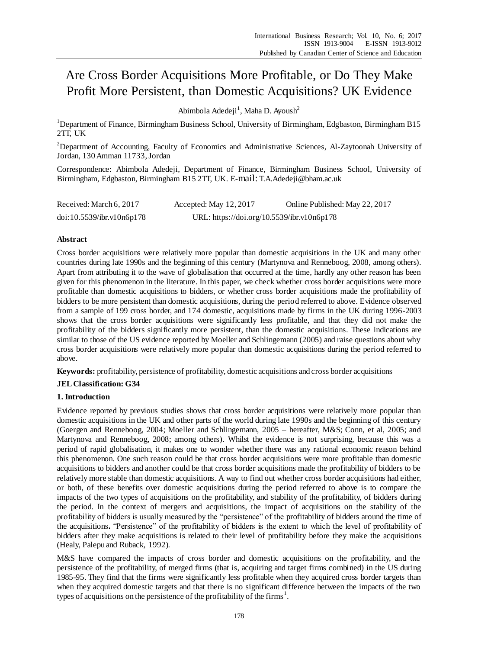# Are Cross Border Acquisitions More Profitable, or Do They Make Profit More Persistent, than Domestic Acquisitions? UK Evidence

Abimbola Adedeji<sup>1</sup>, Maha D. Ayoush<sup>2</sup>

<sup>1</sup>Department of Finance, Birmingham Business School, University of Birmingham, Edgbaston, Birmingham B15 2TT, UK

<sup>2</sup>Department of Accounting, Faculty of Economics and Administrative Sciences, Al-Zaytoonah University of Jordan, 130 Amman 11733,Jordan

Correspondence: Abimbola Adedeji, Department of Finance, Birmingham Business School, University of Birmingham, Edgbaston, Birmingham B15 2TT, UK. E-mail: T.A.Adedeji@bham.ac.uk

| Received: March 6, 2017   | Accepted: May 12, 2017                     | Online Published: May 22, 2017 |
|---------------------------|--------------------------------------------|--------------------------------|
| doi:10.5539/ibr.v10n6p178 | URL: https://doi.org/10.5539/ibr.v10n6p178 |                                |

# **Abstract**

Cross border acquisitions were relatively more popular than domestic acquisitions in the UK and many other countries during late 1990s and the beginning of this century (Martynova and Renneboog, 2008, among others). Apart from attributing it to the wave of globalisation that occurred at the time, hardly any other reason has been given for this phenomenon in the literature. In this paper, we check whether cross border acquisitions were more profitable than domestic acquisitions to bidders, or whether cross border acquisitions made the profitability of bidders to be more persistent than domestic acquisitions, during the period referred to above. Evidence observed from a sample of 199 cross border, and 174 domestic, acquisitions made by firms in the UK during 1996-2003 shows that the cross border acquisitions were significantly less profitable, and that they did not make the profitability of the bidders significantly more persistent, than the domestic acquisitions. These indications are similar to those of the US evidence reported by Moeller and Schlingemann (2005) and raise questions about why cross border acquisitions were relatively more popular than domestic acquisitions during the period referred to above.

**Keywords:** profitability, persistence of profitability, domestic acquisitions and cross border acquisitions

# **JEL Classification: G34**

# **1. Introduction**

Evidence reported by previous studies shows that cross border acquisitions were relatively more popular than domestic acquisitions in the UK and other parts of the world during late 1990s and the beginning of this century (Goergen and Renneboog, 2004; Moeller and Schlingemann, 2005 – hereafter, M&S; Conn, et al, 2005; and Martynova and Renneboog, 2008; among others). Whilst the evidence is not surprising, because this was a period of rapid globalisation, it makes one to wonder whether there was any rational economic reason behind this phenomenon. One such reason could be that cross border acquisitions were more profitable than domestic acquisitions to bidders and another could be that cross border acquisitions made the profitability of bidders to be relatively more stable than domestic acquisitions. A way to find out whether cross border acquisitions had either, or both, of these benefits over domestic acquisitions during the period referred to above is to compare the impacts of the two types of acquisitions on the profitability, and stability of the profitability, of bidders during the period. In the context of mergers and acquisitions, the impact of acquisitions on the stability of the profitability of bidders is usually measured by the "persistence" of the profitability of bidders around the time of the acquisitions**.** "Persistence" of the profitability of bidders is the extent to which the level of profitability of bidders after they make acquisitions is related to their level of profitability before they make the acquisitions (Healy, Palepu and Ruback, 1992).

M&S have compared the impacts of cross border and domestic acquisitions on the profitability, and the persistence of the profitability, of merged firms (that is, acquiring and target firms combined) in the US during 1985-95. They find that the firms were significantly less profitable when they acquired cross border targets than when they acquired domestic targets and that there is no significant difference between the impacts of the two types of acquisitions on the persistence of the profitability of the firms<sup>1</sup>.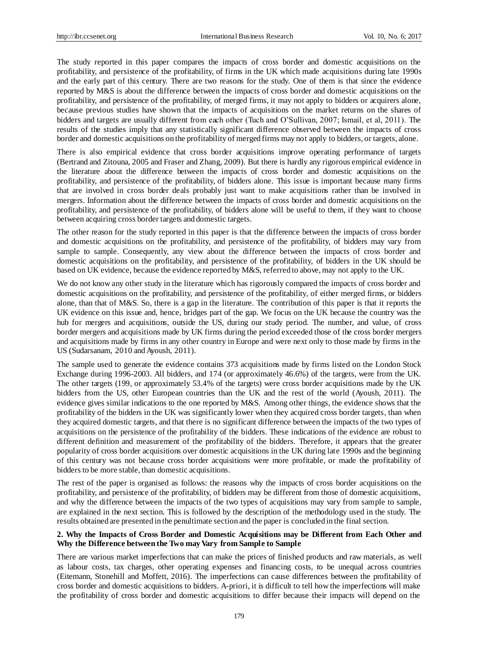The study reported in this paper compares the impacts of cross border and domestic acquisitions on the profitability, and persistence of the profitability, of firms in the UK which made acquisitions during late 1990s and the early part of this century. There are two reasons for the study. One of them is that since the evidence reported by M&S is about the difference between the impacts of cross border and domestic acquisitions on the profitability, and persistence of the profitability, of merged firms, it may not apply to bidders or acquirers alone, because previous studies have shown that the impacts of acquisitions on the market returns on the shares of bidders and targets are usually different from each other (Tuch and O'Sullivan, 2007; Ismail, et al, 2011). The results of the studies imply that any statistically significant difference observed between the impacts of cross border and domestic acquisitions on the profitability of merged firms may not apply to bidders, or targets, alone.

There is also empirical evidence that cross border acquisitions improve operating performance of targets (Bertrand and Zitouna, 2005 and Fraser and Zhang, 2009). But there is hardly any rigorous empirical evidence in the literature about the difference between the impacts of cross border and domestic acquisitions on the profitability, and persistence of the profitability, of bidders alone. This issue is important because many firms that are involved in cross border deals probably just want to make acquisitions rather than be involved in mergers. Information about the difference between the impacts of cross border and domestic acquisitions on the profitability, and persistence of the profitability, of bidders alone will be useful to them, if they want to choose between acquiring cross border targets and domestic targets.

The other reason for the study reported in this paper is that the difference between the impacts of cross border and domestic acquisitions on the profitability, and persistence of the profitability, of bidders may vary from sample to sample. Consequently, any view about the difference between the impacts of cross border and domestic acquisitions on the profitability, and persistence of the profitability, of bidders in the UK should be based on UK evidence, because the evidence reported by M&S, referred to above, may not apply to the UK.

We do not know any other study in the literature which has rigorously compared the impacts of cross border and domestic acquisitions on the profitability, and persistence of the profitability, of either merged firms, or bidders alone, than that of M&S. So, there is a gap in the literature. The contribution of this paper is that it reports the UK evidence on this issue and, hence, bridges part of the gap. We focus on the UK because the country was the hub for mergers and acquisitions, outside the US, during our study period. The number, and value, of cross border mergers and acquisitions made by UK firms during the period exceeded those of the cross border mergers and acquisitions made by firms in any other country in Europe and were next only to those made by firms in the US (Sudarsanam, 2010 and Ayoush, 2011).

The sample used to generate the evidence contains 373 acquisitions made by firms listed on the London Stock Exchange during 1996-2003. All bidders, and 174 (or approximately 46.6%) of the targets, were from the UK. The other targets (199, or approximately 53.4% of the targets) were cross border acquisitions made by the UK bidders from the US, other European countries than the UK and the rest of the world (Ayoush, 2011). The evidence gives similar indications to the one reported by M&S. Among other things, the evidence shows that the profitability of the bidders in the UK was significantly lower when they acquired cross border targets, than when they acquired domestic targets, and that there is no significant difference between the impacts of the two types of acquisitions on the persistence of the profitability of the bidders. These indications of the evidence are robust to different definition and measurement of the profitability of the bidders. Therefore, it appears that the greater popularity of cross border acquisitions over domestic acquisitions in the UK during late 1990s and the beginning of this century was not because cross border acquisitions were more profitable, or made the profitability of bidders to be more stable, than domestic acquisitions.

The rest of the paper is organised as follows: the reasons why the impacts of cross border acquisitions on the profitability, and persistence of the profitability, of bidders may be different from those of domestic acquisitions, and why the difference between the impacts of the two types of acquisitions may vary from sample to sample, are explained in the next section. This is followed by the description of the methodology used in the study. The results obtained are presented in the penultimate section and the paper is concluded in the final section.

### **2. Why the Impacts of Cross Border and Domestic Acquisitions may be Different from Each Other and Why the Difference between the Two may Vary from Sample to Sample**

There are various market imperfections that can make the prices of finished products and raw materials, as well as labour costs, tax charges, other operating expenses and financing costs, to be unequal across countries (Eitemann, Stonehill and Moffett, 2016). The imperfections can cause differences between the profitability of cross border and domestic acquisitions to bidders. A-priori, it is difficult to tell how the imperfections will make the profitability of cross border and domestic acquisitions to differ because their impacts will depend on the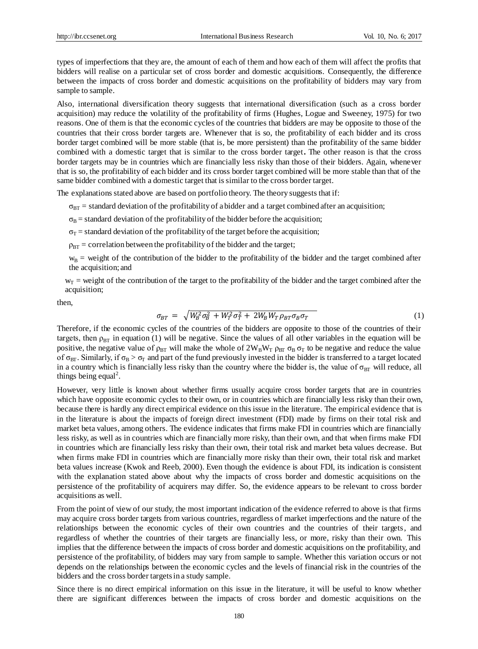types of imperfections that they are, the amount of each of them and how each of them will affect the profits that bidders will realise on a particular set of cross border and domestic acquisitions. Consequently, the difference between the impacts of cross border and domestic acquisitions on the profitability of bidders may vary from sample to sample.

Also, international diversification theory suggests that international diversification (such as a cross border acquisition) may reduce the volatility of the profitability of firms (Hughes, Logue and Sweeney, 1975) for two reasons. One of them is that the economic cycles of the countries that bidders are may be opposite to those of the countries that their cross border targets are. Whenever that is so, the profitability of each bidder and its cross border target combined will be more stable (that is, be more persistent) than the profitability of the same bidder combined with a domestic target that is similar to the cross border target**.** The other reason is that the cross border targets may be in countries which are financially less risky than those of their bidders. Again, whenever that is so, the profitability of each bidder and its cross border target combined will be more stable than that of the same bidder combined with a domestic target that is similar to the cross border target.

The explanations stated above are based on portfolio theory. The theory suggests that if:

 $\sigma_{BT}$  = standard deviation of the profitability of a bidder and a target combined after an acquisition;

 $\sigma_B$  = standard deviation of the profitability of the bidder before the acquisition;

 $\sigma_T$  = standard deviation of the profitability of the target before the acquisition;

 $\rho_{BT}$  = correlation between the profitability of the bidder and the target;

 $w_B$  = weight of the contribution of the bidder to the profitability of the bidder and the target combined after the acquisition; and

 $w_T$  = weight of the contribution of the target to the profitability of the bidder and the target combined after the acquisition;

then,

$$
\sigma_{BT} = \sqrt{W_B^2 \sigma_B^2 + W_T^2 \sigma_T^2 + 2W_B W_T \rho_{BT} \sigma_B \sigma_T} \tag{1}
$$

Therefore, if the economic cycles of the countries of the bidders are opposite to those of the countries of their targets, then  $\rho_{BT}$  in equation (1) will be negative. Since the values of all other variables in the equation will be positive, the negative value of  $\rho_{BT}$  will make the whole of  $2W_BW_T \rho_{BT} \sigma_B \sigma_T$  to be negative and reduce the value of  $\sigma_{BT}$ . Similarly, if  $\sigma_B > \sigma_T$  and part of the fund previously invested in the bidder is transferred to a target located in a country which is financially less risky than the country where the bidder is, the value of  $\sigma_{BT}$  will reduce, all things being equal<sup>2</sup>.

However, very little is known about whether firms usually acquire cross border targets that are in countries which have opposite economic cycles to their own, or in countries which are financially less risky than their own, because there is hardly any direct empirical evidence on this issue in the literature. The empirical evidence that is in the literature is about the impacts of foreign direct investment (FDI) made by firms on their total risk and market beta values, among others. The evidence indicates that firms make FDI in countries which are financially less risky, as well as in countries which are financially more risky, than their own, and that when firms make FDI in countries which are financially less risky than their own, their total risk and market beta values decrease. But when firms make FDI in countries which are financially more risky than their own, their total risk and market beta values increase (Kwok and Reeb, 2000). Even though the evidence is about FDI, its indication is consistent with the explanation stated above about why the impacts of cross border and domestic acquisitions on the persistence of the profitability of acquirers may differ. So, the evidence appears to be relevant to cross border acquisitions as well.

From the point of view of our study, the most important indication of the evidence referred to above is that firms may acquire cross border targets from various countries, regardless of market imperfections and the nature of the relationships between the economic cycles of their own countries and the countries of their targets, and regardless of whether the countries of their targets are financially less, or more, risky than their own. This implies that the difference between the impacts of cross border and domestic acquisitions on the profitability, and persistence of the profitability, of bidders may vary from sample to sample. Whether this variation occurs or not depends on the relationships between the economic cycles and the levels of financial risk in the countries of the bidders and the cross border targets in a study sample.

Since there is no direct empirical information on this issue in the literature, it will be useful to know whether there are significant differences between the impacts of cross border and domestic acquisitions on the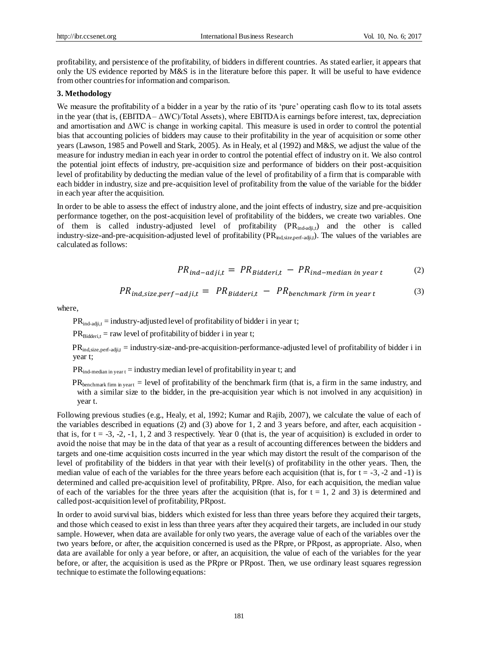profitability, and persistence of the profitability, of bidders in different countries. As stated earlier, it appears that only the US evidence reported by M&S is in the literature before this paper. It will be useful to have evidence from other countries for information and comparison.

#### **3. Methodology**

We measure the profitability of a bidder in a year by the ratio of its 'pure' operating cash flow to its total assets in the year (that is,  $(EBITDA - \Delta WC)/Total$  Assets), where EBITDA is earnings before interest, tax, depreciation and amortisation and ΔWC is change in working capital. This measure is used in order to control the potential bias that accounting policies of bidders may cause to their profitability in the year of acquisition or some other years (Lawson, 1985 and Powell and Stark, 2005). As in Healy, et al (1992) and M&S, we adjust the value of the measure for industry median in each year in order to control the potential effect of industry on it. We also control the potential joint effects of industry, pre-acquisition size and performance of bidders on their post-acquisition level of profitability by deducting the median value of the level of profitability of a firm that is comparable with each bidder in industry, size and pre-acquisition level of profitability from the value of the variable for the bidder in each year after the acquisition.

In order to be able to assess the effect of industry alone, and the joint effects of industry, size and pre-acquisition performance together, on the post-acquisition level of profitability of the bidders, we create two variables. One of them is called industry-adjusted level of profitability  $(PR_{ind-dil},)$  and the other is called industry-size-and-pre-acquisition-adjusted level of profitability  $(PR_{ind, size, pert-adiit})$ . The values of the variables are calculated as follows:

$$
PR_{ind-adji,t} = PR_{Bidderi,t} - PR_{ind-median\ in\ year\ t}
$$
 (2)

$$
PR_{ind, size,perf-adji, t} = PR_{bidderi, t} - PR_{benchmark firm in year t}
$$
 (3)

where,

 $PR_{ind-adiit} = industry-adiusted level of profitability of bidder i in year t;$ 

 $PR_{Bidderi,t}$  = raw level of profitability of bidder i in year t;

 $PR_{ind, size, perf-adjit} = industry-size-and-pre-acquisition-performance-adjusted level of profitability of bidder i in$ year t;

 $PR_{ind-median in year t} = industry median level of profitability in year t; and$ 

 $PR_{\text{benchmark firm in year}}$  = level of profitability of the benchmark firm (that is, a firm in the same industry, and with a similar size to the bidder, in the pre-acquisition year which is not involved in any acquisition) in year t.

Following previous studies (e.g., Healy, et al, 1992; Kumar and Rajib, 2007), we calculate the value of each of the variables described in equations (2) and (3) above for 1, 2 and 3 years before, and after, each acquisition that is, for  $t = -3, -2, -1, 1, 2$  and 3 respectively. Year 0 (that is, the year of acquisition) is excluded in order to avoid the noise that may be in the data of that year as a result of accounting differences between the bidders and targets and one-time acquisition costs incurred in the year which may distort the result of the comparison of the level of profitability of the bidders in that year with their level(s) of profitability in the other years. Then, the median value of each of the variables for the three years before each acquisition (that is, for  $t = -3$ ,  $-2$  and  $-1$ ) is determined and called pre-acquisition level of profitability, PRpre. Also, for each acquisition, the median value of each of the variables for the three years after the acquisition (that is, for  $t = 1$ , 2 and 3) is determined and called post-acquisition level of profitability, PRpost.

In order to avoid survival bias, bidders which existed for less than three years before they acquired their targets, and those which ceased to exist in less than three years after they acquired their targets, are included in our study sample. However, when data are available for only two years, the average value of each of the variables over the two years before, or after, the acquisition concerned is used as the PRpre, or PRpost, as appropriate. Also, when data are available for only a year before, or after, an acquisition, the value of each of the variables for the year before, or after, the acquisition is used as the PRpre or PRpost. Then, we use ordinary least squares regression technique to estimate the following equations: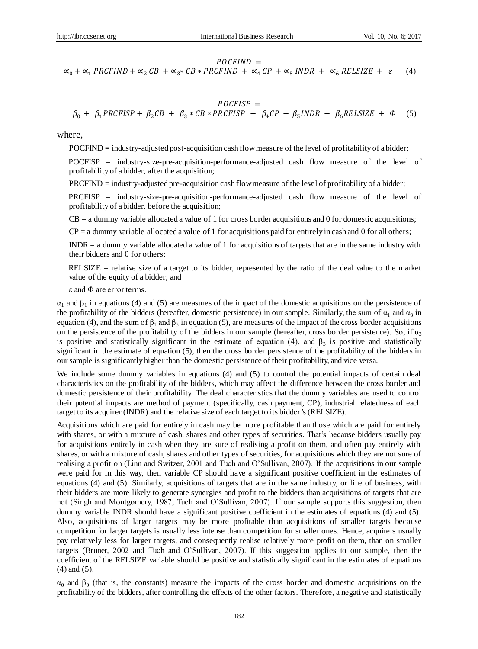#### $POCFIND =$

 $\alpha_0 + \alpha_1$  PRCFIND +  $\alpha_2$  CB +  $\alpha_3 *$  CB \* PRCFIND +  $\alpha_4$  CP +  $\alpha_5$  INDR +  $\alpha_6$  RELSIZE +  $\varepsilon$  (4)

$$
POCFISP =
$$
  
\n
$$
\beta_0 + \beta_1 PRCFISP + \beta_2 CB + \beta_3 * CB * PRCFISP + \beta_4 CP + \beta_5 INDR + \beta_6 RELSIZE + \Phi
$$
 (5)

where,

POCFIND = industry-adjusted post-acquisition cash flow measure of the level of profitability of a bidder;

 POCFISP = industry-size-pre-acquisition-performance-adjusted cash flow measure of the level of profitability of a bidder, after the acquisition;

PRCFIND = industry-adjusted pre-acquisition cash flow measure of the level of profitability of a bidder;

 PRCFISP = industry-size-pre-acquisition-performance-adjusted cash flow measure of the level of profitability of a bidder, before the acquisition;

 $CB = a$  dummy variable allocated a value of 1 for cross border acquisitions and 0 for domestic acquisitions;

 $CP = a$  dummy variable allocated a value of 1 for acquisitions paid for entirely in cash and 0 for all others;

 INDR = a dummy variable allocated a value of 1 for acquisitions of targets that are in the same industry with their bidders and 0 for others;

 $RELSIZE$  = relative size of a target to its bidder, represented by the ratio of the deal value to the market value of the equity of a bidder; and

ε and Φ are error terms.

 $\alpha_1$  and  $\beta_1$  in equations (4) and (5) are measures of the impact of the domestic acquisitions on the persistence of the profitability of the bidders (hereafter, domestic persistence) in our sample. Similarly, the sum of  $\alpha_1$  and  $\alpha_3$  in equation (4), and the sum of  $\beta_1$  and  $\beta_3$  in equation (5), are measures of the impact of the cross border acquisitions on the persistence of the profitability of the bidders in our sample (hereafter, cross border persistence). So, if  $\alpha_3$ is positive and statistically significant in the estimate of equation (4), and  $\beta_3$  is positive and statistically significant in the estimate of equation (5), then the cross border persistence of the profitability of the bidders in our sample is significantly higher than the domestic persistence of their profitability, and vice versa.

We include some dummy variables in equations (4) and (5) to control the potential impacts of certain deal characteristics on the profitability of the bidders, which may affect the difference between the cross border and domestic persistence of their profitability. The deal characteristics that the dummy variables are used to control their potential impacts are method of payment (specifically, cash payment, CP), industrial relatedness of each target to its acquirer (INDR) and the relative size of each target to its bidder's (RELSIZE).

Acquisitions which are paid for entirely in cash may be more profitable than those which are paid for entirely with shares, or with a mixture of cash, shares and other types of securities. That's because bidders usually pay for acquisitions entirely in cash when they are sure of realising a profit on them, and often pay entirely with shares, or with a mixture of cash, shares and other types of securities, for acquisitions which they are not sure of realising a profit on (Linn and Switzer, 2001 and Tuch and O'Sullivan, 2007). If the acquisitions in our sample were paid for in this way, then variable CP should have a significant positive coefficient in the estimates of equations (4) and (5). Similarly, acquisitions of targets that are in the same industry, or line of business, with their bidders are more likely to generate synergies and profit to the bidders than acquisitions of targets that are not (Singh and Montgomery, 1987; Tuch and O'Sullivan, 2007). If our sample supports this suggestion, then dummy variable INDR should have a significant positive coefficient in the estimates of equations (4) and (5). Also, acquisitions of larger targets may be more profitable than acquisitions of smaller targets because competition for larger targets is usually less intense than competition for smaller ones. Hence, acquirers usually pay relatively less for larger targets, and consequently realise relatively more profit on them, than on smaller targets (Bruner, 2002 and Tuch and O'Sullivan, 2007). If this suggestion applies to our sample, then the coefficient of the RELSIZE variable should be positive and statistically significant in the estimates of equations (4) and (5).

 $α_0$  and  $β_0$  (that is, the constants) measure the impacts of the cross border and domestic acquisitions on the profitability of the bidders, after controlling the effects of the other factors. Therefore, a negative and statistically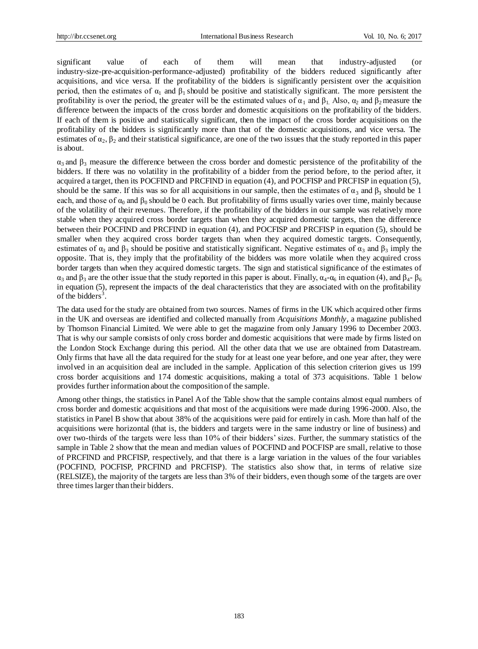significant value of each of them will mean that industry-adjusted (or industry-size-pre-acquisition-performance-adjusted) profitability of the bidders reduced significantly after acquisitions, and vice versa. If the profitability of the bidders is significantly persistent over the acquisition period, then the estimates of  $\alpha_1$  and  $\beta_1$  should be positive and statistically significant. The more persistent the profitability is over the period, the greater will be the estimated values of  $\alpha_1$  and  $\beta_1$ . Also,  $\alpha_2$  and  $\beta_2$  measure the difference between the impacts of the cross border and domestic acquisitions on the profitability of the bidders. If each of them is positive and statistically significant, then the impact of the cross border acquisitions on the profitability of the bidders is significantly more than that of the domestic acquisitions, and vice versa. The estimates of  $\alpha_2$ ,  $\beta_2$  and their statistical significance, are one of the two issues that the study reported in this paper is about.

 $\alpha_3$  and  $\beta_3$  measure the difference between the cross border and domestic persistence of the profitability of the bidders. If there was no volatility in the profitability of a bidder from the period before, to the period after, it acquired a target, then its POCFIND and PRCFIND in equation (4), and POCFISP and PRCFISP in equation (5), should be the same. If this was so for all acquisitions in our sample, then the estimates of  $\alpha_3$  and  $\beta_3$  should be 1 each, and those of  $\alpha_0$  and  $\beta_0$  should be 0 each. But profitability of firms usually varies over time, mainly because of the volatility of their revenues. Therefore, if the profitability of the bidders in our sample was relatively more stable when they acquired cross border targets than when they acquired domestic targets, then the difference between their POCFIND and PRCFIND in equation (4), and POCFISP and PRCFISP in equation (5), should be smaller when they acquired cross border targets than when they acquired domestic targets. Consequently, estimates of  $\alpha_3$  and  $\beta_3$  should be positive and statistically significant. Negative estimates of  $\alpha_3$  and  $\beta_3$  imply the opposite. That is, they imply that the profitability of the bidders was more volatile when they acquired cross border targets than when they acquired domestic targets. The sign and statistical significance of the estimates of  $\alpha_3$  and  $\beta_3$  are the other issue that the study reported in this paper is about. Finally,  $\alpha_4$ - $\alpha_6$  in equation (4), and  $\beta_4$ - $\beta_6$ in equation (5), represent the impacts of the deal characteristics that they are associated with on the profitability of the bidders<sup>3</sup>.

The data used for the study are obtained from two sources. Names of firms in the UK which acquired other firms in the UK and overseas are identified and collected manually from *Acquisitions Monthly*, a magazine published by Thomson Financial Limited. We were able to get the magazine from only January 1996 to December 2003. That is why our sample consists of only cross border and domestic acquisitions that were made by firms listed on the London Stock Exchange during this period. All the other data that we use are obtained from Datastream. Only firms that have all the data required for the study for at least one year before, and one year after, they were involved in an acquisition deal are included in the sample. Application of this selection criterion gives us 199 cross border acquisitions and 174 domestic acquisitions, making a total of 373 acquisitions. Table 1 below provides further information about the composition of the sample.

Among other things, the statistics in Panel A of the Table show that the sample contains almost equal numbers of cross border and domestic acquisitions and that most of the acquisitions were made during 1996-2000. Also, the statistics in Panel B show that about 38% of the acquisitions were paid for entirely in cash. More than half of the acquisitions were horizontal (that is, the bidders and targets were in the same industry or line of business) and over two-thirds of the targets were less than 10% of their bidders' sizes. Further, the summary statistics of the sample in Table 2 show that the mean and median values of POCFIND and POCFISP are small, relative to those of PRCFIND and PRCFISP, respectively, and that there is a large variation in the values of the four variables (POCFIND, POCFISP, PRCFIND and PRCFISP). The statistics also show that, in terms of relative size (RELSIZE), the majority of the targets are less than 3% of their bidders, even though some of the targets are over three times larger than their bidders.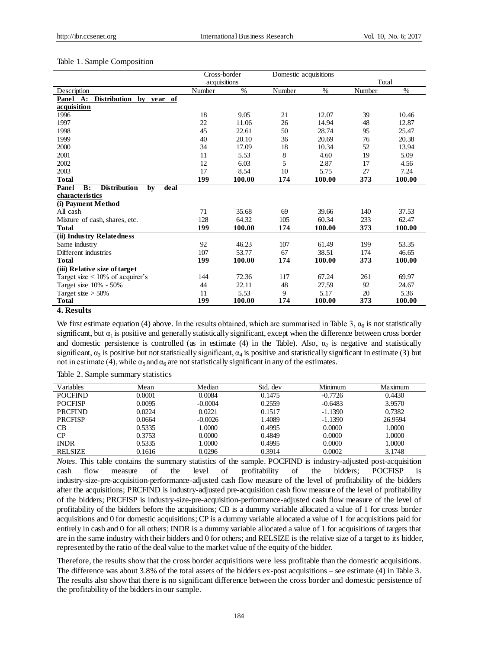#### Table 1. Sample Composition

|                                                               | Cross-border |        | Domestic acquisitions |        |        |        |  |
|---------------------------------------------------------------|--------------|--------|-----------------------|--------|--------|--------|--|
|                                                               | acquisitions |        |                       |        |        | Total  |  |
| Description                                                   | Number       | $\%$   | Number                | $\%$   | Number | $\%$   |  |
| <b>Distribution</b><br>by<br>of<br><b>A:</b><br>Panel<br>vear |              |        |                       |        |        |        |  |
| acquisition                                                   |              |        |                       |        |        |        |  |
| 1996                                                          | 18           | 9.05   | 21                    | 12.07  | 39     | 10.46  |  |
| 1997                                                          | 22           | 11.06  | 26                    | 14.94  | 48     | 12.87  |  |
| 1998                                                          | 45           | 22.61  | 50                    | 28.74  | 95     | 25.47  |  |
| 1999                                                          | 40           | 20.10  | 36                    | 20.69  | 76     | 20.38  |  |
| 2000                                                          | 34           | 17.09  | 18                    | 10.34  | 52     | 13.94  |  |
| 2001                                                          | 11           | 5.53   | 8                     | 4.60   | 19     | 5.09   |  |
| 2002                                                          | 12           | 6.03   | 5                     | 2.87   | 17     | 4.56   |  |
| 2003                                                          | 17           | 8.54   | 10                    | 5.75   | 27     | 7.24   |  |
| <b>Total</b>                                                  | 199          | 100.00 | 174                   | 100.00 | 373    | 100.00 |  |
| <b>Distribution</b><br>B:<br>deal<br>Panel<br>bv              |              |        |                       |        |        |        |  |
| characte ristics                                              |              |        |                       |        |        |        |  |
| (i) Payment Method                                            |              |        |                       |        |        |        |  |
| All cash                                                      | 71           | 35.68  | 69                    | 39.66  | 140    | 37.53  |  |
| Mixture of cash, shares, etc.                                 | 128          | 64.32  | 105                   | 60.34  | 233    | 62.47  |  |
| <b>Total</b>                                                  | 199          | 100.00 | 174                   | 100.00 | 373    | 100.00 |  |
| (ii) Industry Relatedness                                     |              |        |                       |        |        |        |  |
| Same industry                                                 | 92           | 46.23  | 107                   | 61.49  | 199    | 53.35  |  |
| Different industries                                          | 107          | 53.77  | 67                    | 38.51  | 174    | 46.65  |  |
| <b>Total</b>                                                  | 199          | 100.00 | 174                   | 100.00 | 373    | 100.00 |  |
| (iii) Relative size of target                                 |              |        |                       |        |        |        |  |
| Target size $\leq 10\%$ of acquirer's                         | 144          | 72.36  | 117                   | 67.24  | 261    | 69.97  |  |
| Target size 10% - 50%                                         | 44           | 22.11  | 48                    | 27.59  | 92     | 24.67  |  |
| Target size $> 50\%$                                          | 11           | 5.53   | 9                     | 5.17   | 20     | 5.36   |  |
| Total                                                         | 199          | 100.00 | 174                   | 100.00 | 373    | 100.00 |  |

#### **4. Results**

We first estimate equation (4) above. In the results obtained, which are summarised in Table 3,  $\alpha_0$  is not statistically significant, but  $\alpha_1$  is positive and generally statistically significant, except when the difference between cross border and domestic persistence is controlled (as in estimate (4) in the Table). Also,  $\alpha_2$  is negative and statistically significant,  $\alpha_3$  is positive but not statistically significant,  $\alpha_4$  is positive and statistically significant in estimate (3) but not in estimate (4), while  $\alpha_5$  and  $\alpha_6$  are not statistically significant in any of the estimates.

| Variables      | Mean   | Median    | Std. dev | Minimum   | Maximum |
|----------------|--------|-----------|----------|-----------|---------|
| <b>POCFIND</b> | 0.0001 | 0.0084    | 0.1475   | $-0.7726$ | 0.4430  |
| <b>POCFISP</b> | 0.0095 | $-0.0004$ | 0.2559   | $-0.6483$ | 3.9570  |
| <b>PRCFIND</b> | 0.0224 | 0.0221    | 0.1517   | $-1.1390$ | 0.7382  |
| <b>PRCFISP</b> | 0.0664 | $-0.0026$ | 1.4089   | $-1.1390$ | 26.9594 |
| CB             | 0.5335 | 1.0000    | 0.4995   | 0.0000    | 1.0000  |
| CP             | 0.3753 | 0.0000    | 0.4849   | 0.0000    | 1.0000  |
| <b>INDR</b>    | 0.5335 | 1.0000    | 0.4995   | 0.0000    | 1.0000  |
| <b>RELSIZE</b> | 0.1616 | 0.0296    | 0.3914   | 0.0002    | 3.1748  |

Table 2. Sample summary statistics

*Notes.* This table contains the summary statistics of the sample. POCFIND is industry-adjusted post-acquisition cash flow measure of the level of profitability of the bidders; POCFISP is industry-size-pre-acquisition-performance-adjusted cash flow measure of the level of profitability of the bidders after the acquisitions; PRCFIND is industry-adjusted pre-acquisition cash flow measure of the level of profitability of the bidders; PRCFISP is industry-size-pre-acquisition-performance-adjusted cash flow measure of the level of profitability of the bidders before the acquisitions; CB is a dummy variable allocated a value of 1 for cross border acquisitions and 0 for domestic acquisitions; CP is a dummy variable allocated a value of 1 for acquisitions paid for entirely in cash and 0 for all others; INDR is a dummy variable allocated a value of 1 for acquisitions of targets that are in the same industry with their bidders and 0 for others; and RELSIZE is the relative size of a target to its bidder, represented by the ratio of the deal value to the market value of the equity of the bidder.

Therefore, the results show that the cross border acquisitions were less profitable than the domestic acquisitions. The difference was about 3.8% of the total assets of the bidders ex-post acquisitions – see estimate (4) in Table 3. The results also show that there is no significant difference between the cross border and domestic persistence of the profitability of the bidders in our sample.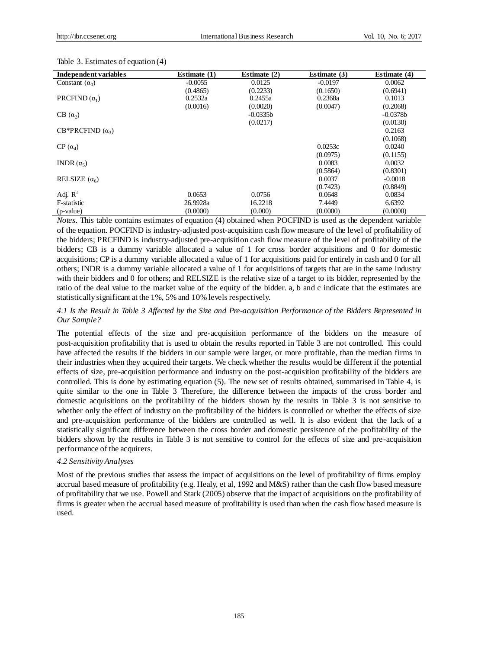#### Table 3. Estimates of equation (4)

| Independent variables  | Estimate $(1)$ | Estimate (2) | Estimate $(3)$ | Estimate (4) |
|------------------------|----------------|--------------|----------------|--------------|
| Constant $(\alpha_0)$  | $-0.0055$      | 0.0125       | $-0.0197$      | 0.0062       |
|                        | (0.4865)       | (0.2233)     | (0.1650)       | (0.6941)     |
| PRCFIND $(\alpha_1)$   | 0.2532a        | 0.2455a      | 0.2368a        | 0.1013       |
|                        | (0.0016)       | (0.0020)     | (0.0047)       | (0.2068)     |
| $CB(\alpha_2)$         |                | $-0.0335b$   |                | $-0.0378b$   |
|                        |                | (0.0217)     |                | (0.0130)     |
| $CB*PRCFIND(\alpha_3)$ |                |              |                | 0.2163       |
|                        |                |              |                | (0.1068)     |
| $CP(\alpha_4)$         |                |              | 0.0253c        | 0.0240       |
|                        |                |              | (0.0975)       | (0.1155)     |
| INDR $(\alpha_5)$      |                |              | 0.0083         | 0.0032       |
|                        |                |              | (0.5864)       | (0.8301)     |
| RELSIZE $(\alpha_{6})$ |                |              | 0.0037         | $-0.0018$    |
|                        |                |              | (0.7423)       | (0.8849)     |
| Adj. $R^2$             | 0.0653         | 0.0756       | 0.0648         | 0.0834       |
| F-statistic            | 26.9928a       | 16.2218      | 7.4449         | 6.6392       |
| $(p-value)$            | (0.0000)       | (0.000)      | (0.0000)       | (0.0000)     |

*Notes.* This table contains estimates of equation (4) obtained when POCFIND is used as the dependent variable of the equation. POCFIND is industry-adjusted post-acquisition cash flow measure of the level of profitability of the bidders; PRCFIND is industry-adjusted pre-acquisition cash flow measure of the level of profitability of the bidders; CB is a dummy variable allocated a value of 1 for cross border acquisitions and 0 for domestic acquisitions; CP is a dummy variable allocated a value of 1 for acquisitions paid for entirely in cash and 0 for all others; INDR is a dummy variable allocated a value of 1 for acquisitions of targets that are in the same industry with their bidders and 0 for others; and RELSIZE is the relative size of a target to its bidder, represented by the ratio of the deal value to the market value of the equity of the bidder. a, b and c indicate that the estimates are statistically significant at the 1%, 5% and 10% levels respectively.

# *4.1 Is the Result in Table 3 Affected by the Size and Pre-acquisition Performance of the Bidders Represented in Our Sample?*

The potential effects of the size and pre-acquisition performance of the bidders on the measure of post-acquisition profitability that is used to obtain the results reported in Table 3 are not controlled. This could have affected the results if the bidders in our sample were larger, or more profitable, than the median firms in their industries when they acquired their targets. We check whether the results would be different if the potential effects of size, pre-acquisition performance and industry on the post-acquisition profitability of the bidders are controlled. This is done by estimating equation (5). The new set of results obtained, summarised in Table 4, is quite similar to the one in Table 3. Therefore, the difference between the impacts of the cross border and domestic acquisitions on the profitability of the bidders shown by the results in Table 3 is not sensitive to whether only the effect of industry on the profitability of the bidders is controlled or whether the effects of size and pre-acquisition performance of the bidders are controlled as well. It is also evident that the lack of a statistically significant difference between the cross border and domestic persistence of the profitability of the bidders shown by the results in Table 3 is not sensitive to control for the effects of size and pre-acquisition performance of the acquirers.

# *4.2 Sensitivity Analyses*

Most of the previous studies that assess the impact of acquisitions on the level of profitability of firms employ accrual based measure of profitability (e.g. Healy, et al, 1992 and M&S) rather than the cash flow based measure of profitability that we use. Powell and Stark (2005) observe that the impact of acquisitions on the profitability of firms is greater when the accrual based measure of profitability is used than when the cash flow based measure is used.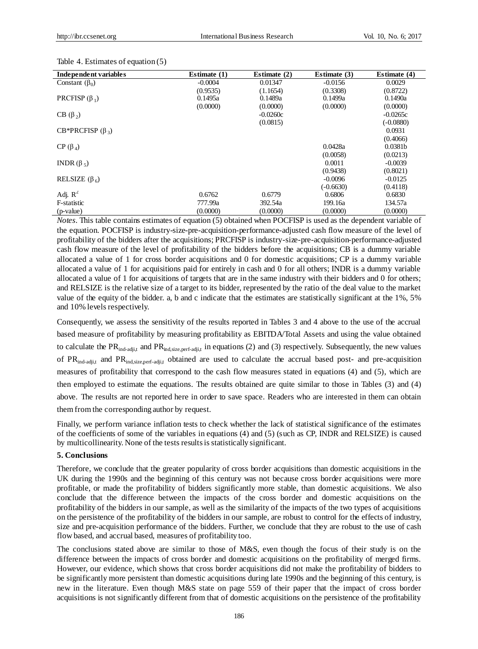Table 4. Estimates of equation (5)

| Independent variables  | Estimate $(1)$ | Estimate $(2)$ | Estimate $(3)$ | Estimate (4) |
|------------------------|----------------|----------------|----------------|--------------|
| Constant $(\beta_0)$   | $-0.0004$      | 0.01347        | $-0.0156$      | 0.0029       |
|                        | (0.9535)       | (1.1654)       | (0.3308)       | (0.8722)     |
| PRCFISP $(\beta_1)$    | 0.1495a        | 0.1489a        | 0.1499a        | 0.1490a      |
|                        | (0.0000)       | (0.0000)       | (0.0000)       | (0.0000)     |
| $CB(\beta_2)$          |                | $-0.0260c$     |                | $-0.0265c$   |
|                        |                | (0.0815)       |                | $(-0.0880)$  |
| CB*PRCFISP $(\beta_3)$ |                |                |                | 0.0931       |
|                        |                |                |                | (0.4066)     |
| $CP(\beta_4)$          |                |                | 0.0428a        | 0.0381b      |
|                        |                |                | (0.0058)       | (0.0213)     |
| INDR $(\beta_5)$       |                |                | 0.0011         | $-0.0039$    |
|                        |                |                | (0.9438)       | (0.8021)     |
| RELSIZE $(\beta_6)$    |                |                | $-0.0096$      | $-0.0125$    |
|                        |                |                | $(-0.6630)$    | (0.4118)     |
| Adj. $R^2$             | 0.6762         | 0.6779         | 0.6806         | 0.6830       |
| F-statistic            | 777.99a        | 392.54a        | 199.16a        | 134.57a      |
| $(p-value)$            | (0.0000)       | (0.0000)       | (0.0000)       | (0.0000)     |

*Notes.* This table contains estimates of equation (5) obtained when POCFISP is used as the dependent variable of the equation. POCFISP is industry-size-pre-acquisition-performance-adjusted cash flow measure of the level of profitability of the bidders after the acquisitions; PRCFISP is industry-size-pre-acquisition-performance-adjusted cash flow measure of the level of profitability of the bidders before the acquisitions; CB is a dummy variable allocated a value of 1 for cross border acquisitions and 0 for domestic acquisitions; CP is a dummy variable allocated a value of 1 for acquisitions paid for entirely in cash and 0 for all others; INDR is a dummy variable allocated a value of 1 for acquisitions of targets that are in the same industry with their bidders and 0 for others; and RELSIZE is the relative size of a target to its bidder, represented by the ratio of the deal value to the market value of the equity of the bidder. a, b and c indicate that the estimates are statistically significant at the 1%, 5% and 10% levels respectively.

Consequently, we assess the sensitivity of the results reported in Tables 3 and 4 above to the use of the accrual based measure of profitability by measuring profitability as EBITDA/Total Assets and using the value obtained to calculate the  $PR_{ind-adjit}$  and  $PR_{ind, size, perf-adjit}$  in equations (2) and (3) respectively. Subsequently, the new values of PR<sub>ind-adji,t</sub> and PR<sub>ind,size,perf-adji,t</sub> obtained are used to calculate the accrual based post- and pre-acquisition measures of profitability that correspond to the cash flow measures stated in equations (4) and (5), which are then employed to estimate the equations. The results obtained are quite similar to those in Tables (3) and (4) above. The results are not reported here in order to save space. Readers who are interested in them can obtain them from the corresponding author by request.

Finally, we perform variance inflation tests to check whether the lack of statistical significance of the estimates of the coefficients of some of the variables in equations (4) and (5) (such as CP, INDR and RELSIZE) is caused by multicollinearity. None of the tests results is statistically significant.

#### **5. Conclusions**

Therefore, we conclude that the greater popularity of cross border acquisitions than domestic acquisitions in the UK during the 1990s and the beginning of this century was not because cross border acquisitions were more profitable, or made the profitability of bidders significantly more stable, than domestic acquisitions. We also conclude that the difference between the impacts of the cross border and domestic acquisitions on the profitability of the bidders in our sample, as well as the similarity of the impacts of the two types of acquisitions on the persistence of the profitability of the bidders in our sample, are robust to control for the effects of industry, size and pre-acquisition performance of the bidders. Further, we conclude that they are robust to the use of cash flow based, and accrual based, measures of profitability too.

The conclusions stated above are similar to those of M&S, even though the focus of their study is on the difference between the impacts of cross border and domestic acquisitions on the profitability of merged firms. However, our evidence, which shows that cross border acquisitions did not make the profitability of bidders to be significantly more persistent than domestic acquisitions during late 1990s and the beginning of this century, is new in the literature. Even though M&S state on page 559 of their paper that the impact of cross border acquisitions is not significantly different from that of domestic acquisitions on the persistence of the profitability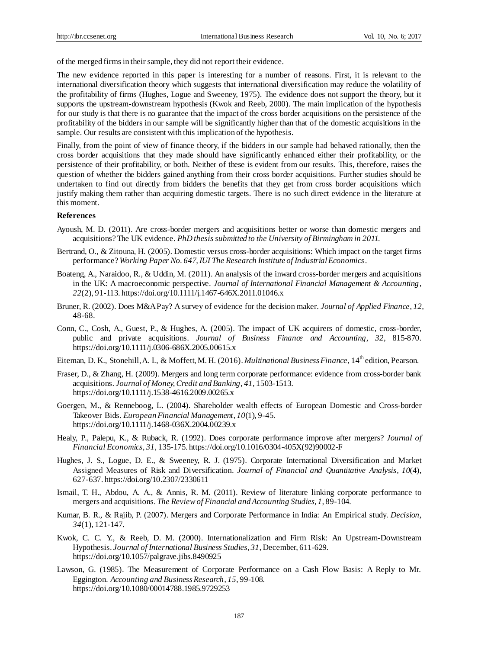of the merged firms in their sample, they did not report their evidence.

The new evidence reported in this paper is interesting for a number of reasons. First, it is relevant to the international diversification theory which suggests that international diversification may reduce the volatility of the profitability of firms (Hughes, Logue and Sweeney, 1975). The evidence does not support the theory, but it supports the upstream-downstream hypothesis (Kwok and Reeb, 2000). The main implication of the hypothesis for our study is that there is no guarantee that the impact of the cross border acquisitions on the persistence of the profitability of the bidders in our sample will be significantly higher than that of the domestic acquisitions in the sample. Our results are consistent with this implication of the hypothesis.

Finally, from the point of view of finance theory, if the bidders in our sample had behaved rationally, then the cross border acquisitions that they made should have significantly enhanced either their profitability, or the persistence of their profitability, or both. Neither of these is evident from our results. This, therefore, raises the question of whether the bidders gained anything from their cross border acquisitions. Further studies should be undertaken to find out directly from bidders the benefits that they get from cross border acquisitions which justify making them rather than acquiring domestic targets. There is no such direct evidence in the literature at this moment.

#### **References**

- Ayoush, M. D. (2011). Are cross-border mergers and acquisitions better or worse than domestic mergers and acquisitions? The UK evidence. *PhD thesis submitted to the University of Birmingham in 2011.*
- Bertrand, O., & Zitouna, H. (2005). Domestic versus cross-border acquisitions: Which impact on the target firms performance? *Working Paper No. 647, IUI The Research Institute of Industrial Economics*.
- Boateng, A., Naraidoo, R., & Uddin, M. (2011). An analysis of the inward cross-border mergers and acquisitions in the UK: A macroeconomic perspective. *Journal of International Financial Management & Accounting*, *22*(2), 91-113. https://doi.org/10.1111/j.1467-646X.2011.01046.x
- Bruner, R. (2002). Does M&A Pay? A survey of evidence for the decision maker. *Journal of Applied Finance*, *12,*  48-68.
- Conn, C., Cosh, A., Guest, P., & Hughes, A. (2005). The impact of UK acquirers of domestic, cross-border, public and private acquisitions. *Journal of Business Finance and Accounting, 32,* 815-870. https://doi.org/10.1111/j.0306-686X.2005.00615.x
- Eiteman, D. K., Stonehill, A. I., & Moffett, M. H. (2016). *Multinational Business Finance*, 14<sup>th</sup> edition, Pearson.
- Fraser, D., & Zhang, H. (2009). Mergers and long term corporate performance: evidence from cross-border bank acquisitions. *Journal of Money, Credit and Banking, 41,* 1503-1513. https://doi.org/10.1111/j.1538-4616.2009.00265.x
- Goergen, M., & Renneboog, L. (2004). Shareholder wealth effects of European Domestic and Cross-border Takeover Bids. *European Financial Management*, *10*(1), 9-45. https://doi.org/10.1111/j.1468-036X.2004.00239.x
- Healy, P., Palepu, K., & Ruback, R. (1992). Does corporate performance improve after mergers? *Journal of Financial Economics, 31,* 135-175. https://doi.org/10.1016/0304-405X(92)90002-F
- Hughes, J. S., Logue, D. E., & Sweeney, R. J. (1975). Corporate International Diversification and Market Assigned Measures of Risk and Diversification. *Journal of Financial and Quantitative Analysis, 10*(4), 627-637. https://doi.org/10.2307/2330611
- Ismail, T. H., Abdou, A. A., & Annis, R. M. (2011). Review of literature linking corporate performance to mergers and acquisitions. *The Review of Financial and Accounting Studies, 1,* 89-104.
- Kumar, B. R., & Rajib, P. (2007). Mergers and Corporate Performance in India: An Empirical study. *Decision*, *34*(1), 121-147.
- Kwok, C. C. Y., & Reeb, D. M. (2000). Internationalization and Firm Risk: An Upstream-Downstream Hypothesis. *Journal of International Business Studies, 31,* December, 611-629. https://doi.org/10.1057/palgrave.jibs.8490925
- Lawson, G. (1985). The Measurement of Corporate Performance on a Cash Flow Basis: A Reply to Mr. Eggington. *Accounting and Business Research, 15,* 99-108. https://doi.org/10.1080/00014788.1985.9729253